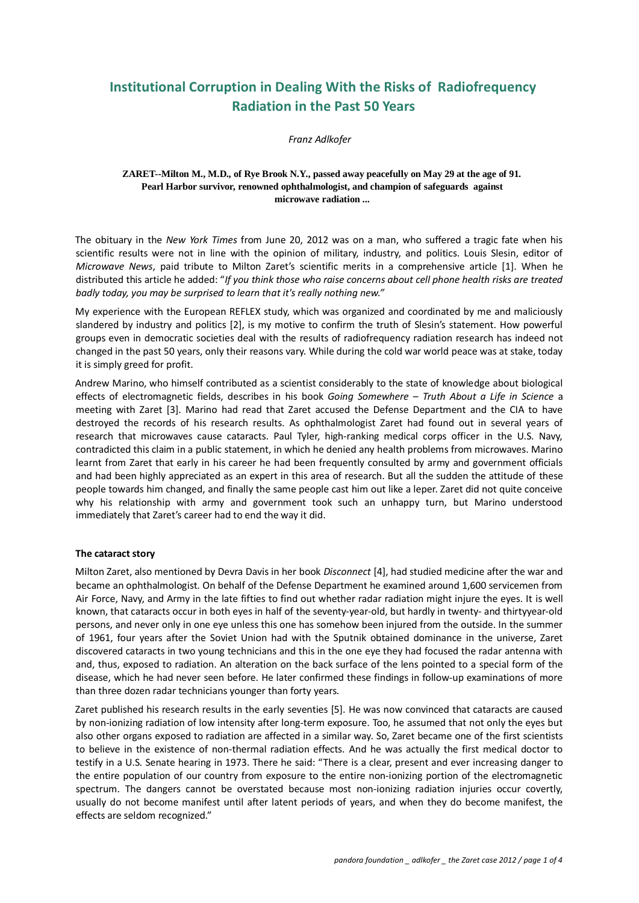# **Institutional Corruption in Dealing With the Risks of Radiofrequency Radiation in the Past 50 Years**

*Franz Adlkofer* 

### **ZARET--Milton M., M.D., of Rye Brook N.Y., passed away peacefully on May 29 at the age of 91. Pearl Harbor survivor, renowned ophthalmologist, and champion of safeguards against microwave radiation ...**

The obituary in the *New York Times* from June 20, 2012 was on a man, who suffered a tragic fate when his scientific results were not in line with the opinion of military, industry, and politics. Louis Slesin, editor of *Microwave News*, paid tribute to Milton Zaret's scientific merits in a comprehensive article [1]. When he distributed this article he added: "*If you think those who raise concerns about cell phone health risks are treated badly today, you may be surprised to learn that it's really nothing new."*

My experience with the European REFLEX study, which was organized and coordinated by me and maliciously slandered by industry and politics [2], is my motive to confirm the truth of Slesin's statement. How powerful groups even in democratic societies deal with the results of radiofrequency radiation research has indeed not changed in the past 50 years, only their reasons vary. While during the cold war world peace was at stake, today it is simply greed for profit.

Andrew Marino, who himself contributed as a scientist considerably to the state of knowledge about biological effects of electromagnetic fields, describes in his book *Going Somewhere – Truth About a Life in Science* a meeting with Zaret [3]. Marino had read that Zaret accused the Defense Department and the CIA to have destroyed the records of his research results. As ophthalmologist Zaret had found out in several years of research that microwaves cause cataracts. Paul Tyler, high-ranking medical corps officer in the U.S. Navy, contradicted this claim in a public statement, in which he denied any health problems from microwaves. Marino learnt from Zaret that early in his career he had been frequently consulted by army and government officials and had been highly appreciated as an expert in this area of research. But all the sudden the attitude of these people towards him changed, and finally the same people cast him out like a leper. Zaret did not quite conceive why his relationship with army and government took such an unhappy turn, but Marino understood immediately that Zaret's career had to end the way it did.

## **The cataract story**

Milton Zaret, also mentioned by Devra Davis in her book *Disconnect* [4], had studied medicine after the war and became an ophthalmologist. On behalf of the Defense Department he examined around 1,600 servicemen from Air Force, Navy, and Army in the late fifties to find out whether radar radiation might injure the eyes. It is well known, that cataracts occur in both eyes in half of the seventy-year-old, but hardly in twenty- and thirtyyear-old persons, and never only in one eye unless this one has somehow been injured from the outside. In the summer of 1961, four years after the Soviet Union had with the Sputnik obtained dominance in the universe, Zaret discovered cataracts in two young technicians and this in the one eye they had focused the radar antenna with and, thus, exposed to radiation. An alteration on the back surface of the lens pointed to a special form of the disease, which he had never seen before. He later confirmed these findings in follow‐up examinations of more than three dozen radar technicians younger than forty years.

Zaret published his research results in the early seventies [5]. He was now convinced that cataracts are caused by non‐ionizing radiation of low intensity after long‐term exposure. Too, he assumed that not only the eyes but also other organs exposed to radiation are affected in a similar way. So, Zaret became one of the first scientists to believe in the existence of non-thermal radiation effects. And he was actually the first medical doctor to testify in a U.S. Senate hearing in 1973. There he said: "There is a clear, present and ever increasing danger to the entire population of our country from exposure to the entire non‐ionizing portion of the electromagnetic spectrum. The dangers cannot be overstated because most non-ionizing radiation injuries occur covertly, usually do not become manifest until after latent periods of years, and when they do become manifest, the effects are seldom recognized."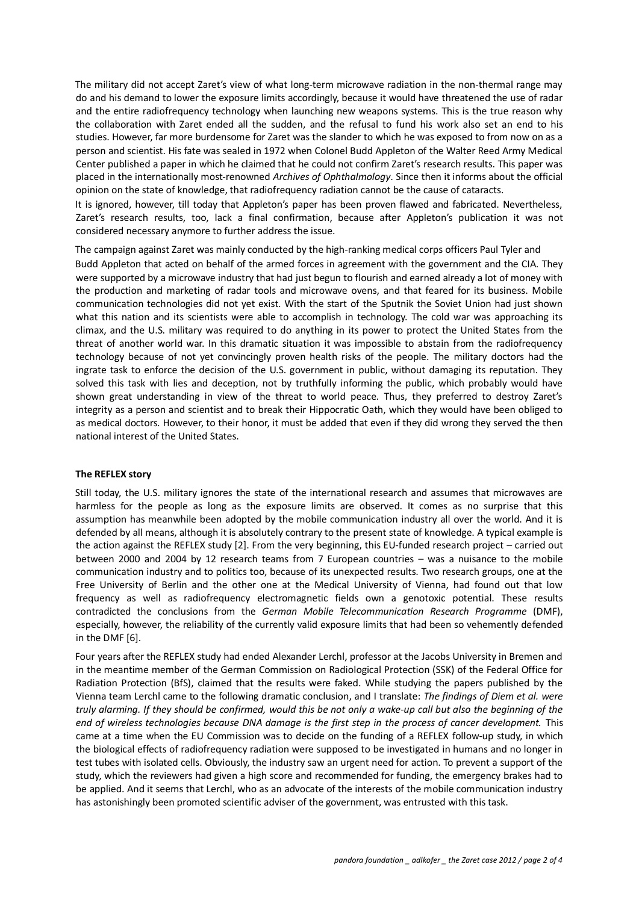The military did not accept Zaret's view of what long-term microwave radiation in the non-thermal range may do and his demand to lower the exposure limits accordingly, because it would have threatened the use of radar and the entire radiofrequency technology when launching new weapons systems. This is the true reason why the collaboration with Zaret ended all the sudden, and the refusal to fund his work also set an end to his studies. However, far more burdensome for Zaret was the slander to which he was exposed to from now on as a person and scientist. His fate was sealed in 1972 when Colonel Budd Appleton of the Walter Reed Army Medical Center published a paper in which he claimed that he could not confirm Zaret's research results. This paper was placed in the internationally most‐renowned *Archives of Ophthalmology*. Since then it informs about the official opinion on the state of knowledge, that radiofrequency radiation cannot be the cause of cataracts.

It is ignored, however, till today that Appleton's paper has been proven flawed and fabricated. Nevertheless, Zaret's research results, too, lack a final confirmation, because after Appleton's publication it was not considered necessary anymore to further address the issue.

The campaign against Zaret was mainly conducted by the high-ranking medical corps officers Paul Tyler and Budd Appleton that acted on behalf of the armed forces in agreement with the government and the CIA. They were supported by a microwave industry that had just begun to flourish and earned already a lot of money with the production and marketing of radar tools and microwave ovens, and that feared for its business. Mobile communication technologies did not yet exist. With the start of the Sputnik the Soviet Union had just shown what this nation and its scientists were able to accomplish in technology. The cold war was approaching its climax, and the U.S. military was required to do anything in its power to protect the United States from the threat of another world war. In this dramatic situation it was impossible to abstain from the radiofrequency technology because of not yet convincingly proven health risks of the people. The military doctors had the ingrate task to enforce the decision of the U.S. government in public, without damaging its reputation. They solved this task with lies and deception, not by truthfully informing the public, which probably would have shown great understanding in view of the threat to world peace. Thus, they preferred to destroy Zaret's integrity as a person and scientist and to break their Hippocratic Oath, which they would have been obliged to as medical doctors. However, to their honor, it must be added that even if they did wrong they served the then national interest of the United States.

#### **The REFLEX story**

Still today, the U.S. military ignores the state of the international research and assumes that microwaves are harmless for the people as long as the exposure limits are observed. It comes as no surprise that this assumption has meanwhile been adopted by the mobile communication industry all over the world. And it is defended by all means, although it is absolutely contrary to the present state of knowledge. A typical example is the action against the REFLEX study [2]. From the very beginning, this EU-funded research project – carried out between 2000 and 2004 by 12 research teams from 7 European countries – was a nuisance to the mobile communication industry and to politics too, because of its unexpected results. Two research groups, one at the Free University of Berlin and the other one at the Medical University of Vienna, had found out that low frequency as well as radiofrequency electromagnetic fields own a genotoxic potential. These results contradicted the conclusions from the *German Mobile Telecommunication Research Programme* (DMF), especially, however, the reliability of the currently valid exposure limits that had been so vehemently defended in the DMF [6].

Four years after the REFLEX study had ended Alexander Lerchl, professor at the Jacobs University in Bremen and in the meantime member of the German Commission on Radiological Protection (SSK) of the Federal Office for Radiation Protection (BfS), claimed that the results were faked. While studying the papers published by the Vienna team Lerchl came to the following dramatic conclusion, and I translate: *The findings of Diem et al. were truly alarming. If they should be confirmed, would this be not only a wake‐up call but also the beginning of the end of wireless technologies because DNA damage is the first step in the process of cancer development.* This came at a time when the EU Commission was to decide on the funding of a REFLEX follow-up study, in which the biological effects of radiofrequency radiation were supposed to be investigated in humans and no longer in test tubes with isolated cells. Obviously, the industry saw an urgent need for action. To prevent a support of the study, which the reviewers had given a high score and recommended for funding, the emergency brakes had to be applied. And it seems that Lerchl, who as an advocate of the interests of the mobile communication industry has astonishingly been promoted scientific adviser of the government, was entrusted with this task.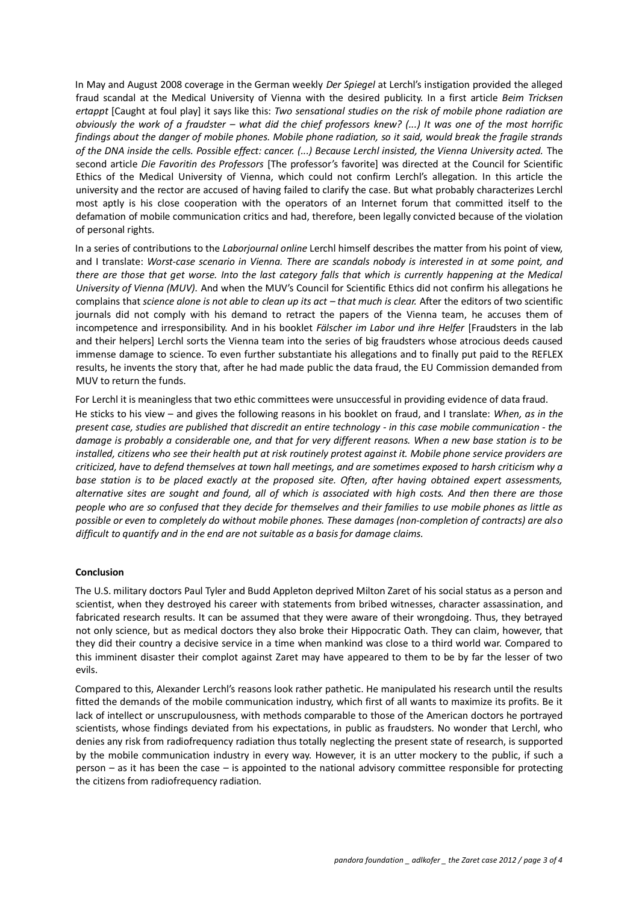In May and August 2008 coverage in the German weekly *Der Spiegel* at Lerchl's instigation provided the alleged fraud scandal at the Medical University of Vienna with the desired publicity. In a first article *Beim Tricksen ertappt* [Caught at foul play] it says like this: *Two sensational studies on the risk of mobile phone radiation are obviously the work of a fraudster – what did the chief professors knew? (...) It was one of the most horrific findings about the danger of mobile phones. Mobile phone radiation, so it said, would break the fragile strands of the DNA inside the cells. Possible effect: cancer. (...) Because Lerchl insisted, the Vienna University acted.* The second article *Die Favoritin des Professors* [The professor's favorite] was directed at the Council for Scientific Ethics of the Medical University of Vienna, which could not confirm Lerchl's allegation. In this article the university and the rector are accused of having failed to clarify the case. But what probably characterizes Lerchl most aptly is his close cooperation with the operators of an Internet forum that committed itself to the defamation of mobile communication critics and had, therefore, been legally convicted because of the violation of personal rights.

In a series of contributions to the *Laborjournal online* Lerchl himself describes the matter from his point of view, and I translate: *Worst‐case scenario in Vienna. There are scandals nobody is interested in at some point, and there are those that get worse. Into the last category falls that which is currently happening at the Medical University of Vienna (MUV).* And when the MUV's Council for Scientific Ethics did not confirm his allegations he complains that *science alone is not able to clean up its act – that much is clear.* After the editors of two scientific journals did not comply with his demand to retract the papers of the Vienna team, he accuses them of incompetence and irresponsibility. And in his booklet *Fälscher im Labor und ihre Helfer* [Fraudsters in the lab and their helpers] Lerchl sorts the Vienna team into the series of big fraudsters whose atrocious deeds caused immense damage to science. To even further substantiate his allegations and to finally put paid to the REFLEX results, he invents the story that, after he had made public the data fraud, the EU Commission demanded from MUV to return the funds.

For Lerchl it is meaningless that two ethic committees were unsuccessful in providing evidence of data fraud. He sticks to his view – and gives the following reasons in his booklet on fraud, and I translate: *When, as in the present case, studies are published that discredit an entire technology ‐ in this case mobile communication ‐ the damage is probably a considerable one, and that for very different reasons. When a new base station is to be installed, citizens who see their health put at risk routinely protest against it. Mobile phone service providers are criticized, have to defend themselves at town hall meetings, and are sometimes exposed to harsh criticism why a base station is to be placed exactly at the proposed site. Often, after having obtained expert assessments, alternative sites are sought and found, all of which is associated with high costs. And then there are those people who are so confused that they decide for themselves and their families to use mobile phones as little as possible or even to completely do without mobile phones. These damages (non‐completion of contracts) are also difficult to quantify and in the end are not suitable as a basis for damage claims.* 

## **Conclusion**

The U.S. military doctors Paul Tyler and Budd Appleton deprived Milton Zaret of his social status as a person and scientist, when they destroyed his career with statements from bribed witnesses, character assassination, and fabricated research results. It can be assumed that they were aware of their wrongdoing. Thus, they betrayed not only science, but as medical doctors they also broke their Hippocratic Oath. They can claim, however, that they did their country a decisive service in a time when mankind was close to a third world war. Compared to this imminent disaster their complot against Zaret may have appeared to them to be by far the lesser of two evils.

Compared to this, Alexander Lerchl's reasons look rather pathetic. He manipulated his research until the results fitted the demands of the mobile communication industry, which first of all wants to maximize its profits. Be it lack of intellect or unscrupulousness, with methods comparable to those of the American doctors he portrayed scientists, whose findings deviated from his expectations, in public as fraudsters. No wonder that Lerchl, who denies any risk from radiofrequency radiation thus totally neglecting the present state of research, is supported by the mobile communication industry in every way. However, it is an utter mockery to the public, if such a person – as it has been the case – is appointed to the national advisory committee responsible for protecting the citizens from radiofrequency radiation.